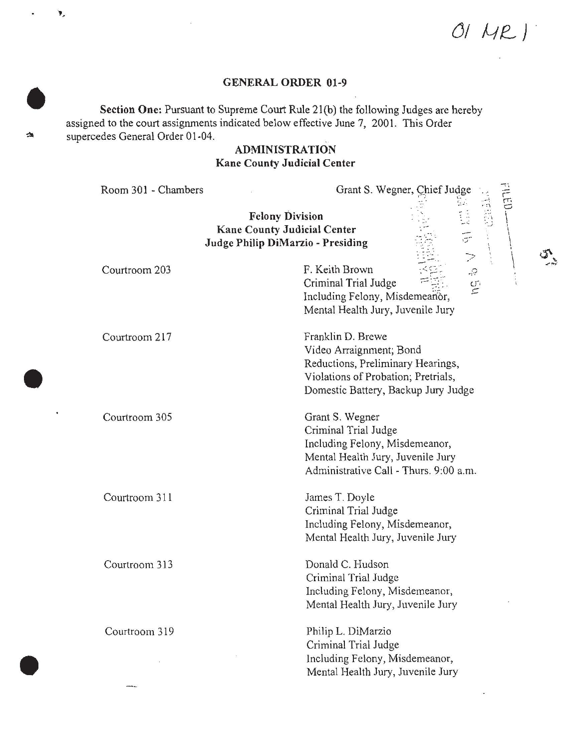*05*

### GENERAL ORDER 01-9

Section One; Pursuant to Supreme Court Rule 2l(b) the following Judges are hereby assigned to the court assignments indicated below effective June 7, 2001. This Order supercedes General Order 01-04.

¥,

42

幽

# ADMINISTRATION Kane County Judicial Center

| Room 301 - Chambers | Grant S. Wegner, Chief Judge                                                                                                                                    |  |
|---------------------|-----------------------------------------------------------------------------------------------------------------------------------------------------------------|--|
|                     | <b>Felony Division</b><br><b>Kane County Judicial Center</b><br>Judge Philip DiMarzio - Presiding                                                               |  |
| Courtroom 203       | F. Keith Brown<br>$\mathbb{R}$<br>Criminal Trial Judge<br>$\mathbb{C}^n$<br>$\subset$<br>Including Felony, Misdemeanor,<br>Mental Health Jury, Juvenile Jury    |  |
| Courtroom 217       | Franklin D. Brewe<br>Video Arraignment; Bond<br>Reductions, Preliminary Hearings,<br>Violations of Probation; Pretrials,<br>Domestic Battery, Backup Jury Judge |  |
| Courtroom 305       | Grant S. Wegner<br>Criminal Trial Judge<br>Including Felony, Misdemeanor,<br>Mental Health Jury, Juvenile Jury<br>Administrative Call - Thurs. 9:00 a.m.        |  |
| Courtroom 311       | James T. Doyle<br>Criminal Trial Judge<br>Including Felony, Misdemeanor,<br>Mental Health Jury, Juvenile Jury                                                   |  |
| Courtroom 313       | Donald C. Hudson<br>Criminal Trial Judge<br>Including Felony, Misdemeanor,<br>Mental Health Jury, Juvenile Jury                                                 |  |
| Courtroom 319       | Philip L. DiMarzio<br>Criminal Trial Judge<br>Including Felony, Misdemeanor,<br>Mental Health Jury, Juvenile Jury                                               |  |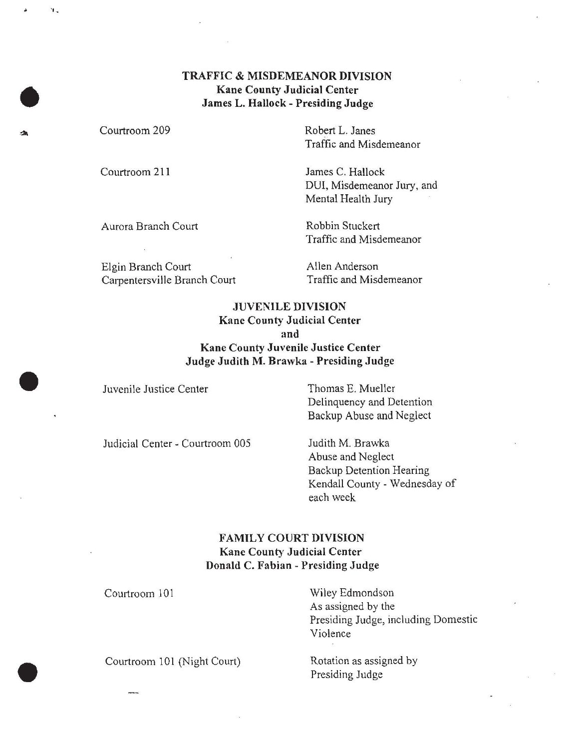### **TRAFFIC & MISDEMEANOR DIVISION Kane County Judicial Center James L. Hallock - Presiding Judge**

Courtroom 209

Courtroom 211

Robert L. Janes Traffic and Misdemeanor

James C. Hallock DUI, Misdemeanor Jury, and Mental Health Jury

Aurora Branch Court Robbin Stuckert

Traffic and Misdemeanor

Elgin Branch Court Carpentersville Branch Court Allen Anderson Traffic and Misdemeanor

### **JUVENILE DIVISION Kane County Judicial Center and Kane County Juvenile Justice Center**

**Judge Judith M. Brawka - Presiding Judge** 

Juvenile Justice Center Thomas E. Mueller Delinquency and Detention Backup Abuse and Neglect

Judicial Center - Courtroom 005 Judith M. Brawka

Abuse and Neglect Backup Detention Hearing Kendall County - Wednesday of each week

## **FAMILY COURT DIVISION Kane County Judicial Center Donald C. Fabian - Presiding Judge**

Courtroom 101

 $\overline{a}$ 

Wiley Edmondson As assigned by the Presiding Judge, including Domestic Violence

Courtroom 101 (Night Court) Rotation as assigned by

Presiding Judge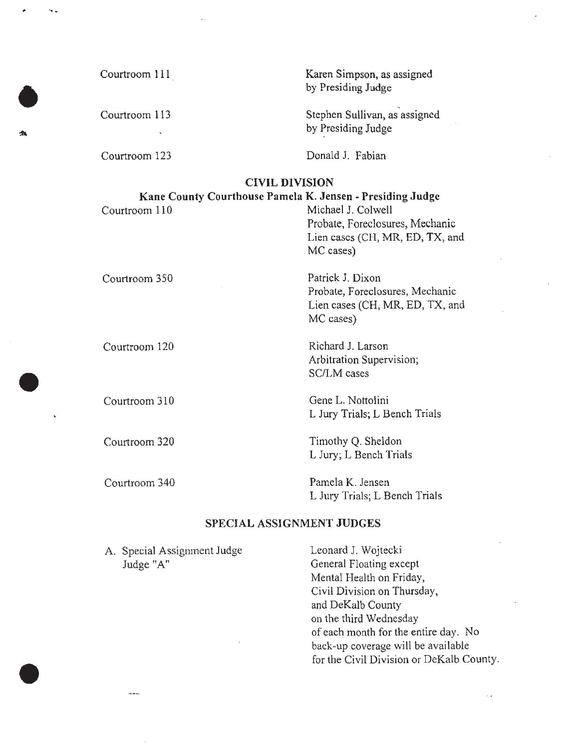Courtroom 111 Courtroom 113 Courtroom 123 Karen Simpson, as assigned by Presiding Judge Stephen Sullivan, as assigned by Presiding Judge Donald J. Fabian CIVIL DIVISION Kane County Courthouse Pamela K. Jensen - Presiding Judge Courtroom 110 Michael J. Colwell Courtroom 350 Courtroom 120 Probate, Foreclosures, Mechanic Lien cases (CH, MR, ED, TX, and MC cases) Patrick J. Dixon Probate, Foreclosures, Mechanic Lien cases (CH, MR, ED, TX, and MC cases) Richard J. Larson Arbitration Supervision; SC/LM cases

> Gene L. Nottolini L Jury Trials; L Bench Trials

Timothy Q. Sheldon L Jury; L Bench Trials

Pamela K. Jensen L Jury Trials; L Bench Trials

#### SPECIAL ASSIGNMENT JUDGES

A. Special Assignment Judge Judge "A"

Courtroom 310

Courtroom 320

Courtroom 340

Leonard J. Wojtecki General Floating except Mental Health on Friday, Civil Division on Thursday, and DeKalb County on the third Wednesday of each month for the entire day. No back-up coverage will be available for the Civil Division or DeKalb County.